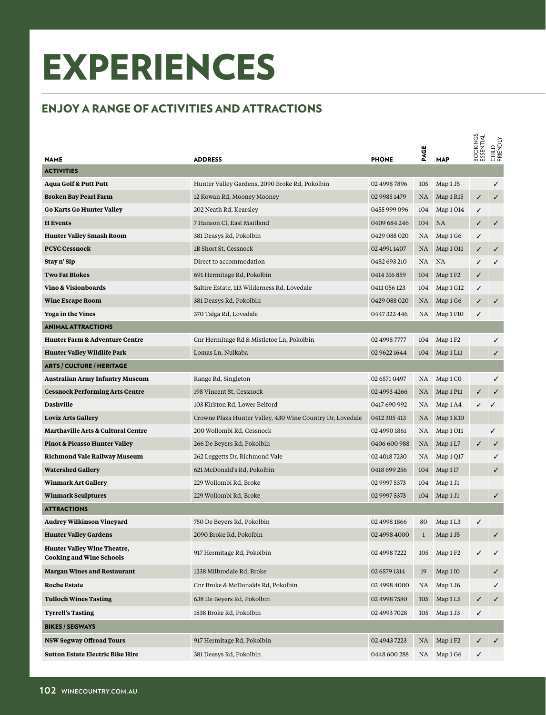## EXPERIENCES

## ENJOY A RANGE OF ACTIVITIES AND ATTRACTIONS

|                                                                       |                                                           |              | PAGE      |                      | BOOKINGS<br>ESSENTIAL | CHILD<br>FRIENDLY |
|-----------------------------------------------------------------------|-----------------------------------------------------------|--------------|-----------|----------------------|-----------------------|-------------------|
| <b>NAME</b><br><b>ACTIVITIES</b>                                      | <b>ADDRESS</b>                                            | <b>PHONE</b> |           | <b>MAP</b>           |                       |                   |
| <b>Aqua Golf &amp; Putt Putt</b>                                      | Hunter Valley Gardens, 2090 Broke Rd, Pokolbin            | 02 4998 7896 | 105       | Map 1 J5             |                       | ✓                 |
| Broken Bay Pearl Farm                                                 | 12 Kowan Rd, Mooney Mooney                                | 02 9985 1479 | NA        | Map 1 R15            | ✓                     | ✓                 |
| <b>Go Karts Go Hunter Valley</b>                                      | 202 Neath Rd, Kearsley                                    | 0455 999 096 | 104       | Map 1014             | ✓                     |                   |
| <b>H</b> Events                                                       | 7 Hanson Cl, East Maitland                                | 0409 684 246 | 104       | <b>NA</b>            | ✓                     | $\checkmark$      |
| <b>Hunter Valley Smash Room</b>                                       | 381 Deasys Rd, Pokolbin                                   | 0429 088 020 | NA        | Map 1 G6             | ✓                     |                   |
| <b>PCYC Cessnock</b>                                                  | 1B Short St, Cessnock                                     | 02 4991 1407 | NA.       | Map 1 O11            | ✓                     | ✓                 |
| Stay n' Sip                                                           | Direct to accommodation                                   | 0482 693 210 | <b>NA</b> | <b>NA</b>            | ✓                     | ✓                 |
| <b>Two Fat Blokes</b>                                                 | 691 Hermitage Rd, Pokolbin                                | 0414 316 859 | 104       | Map 1 F <sub>2</sub> | ✓                     |                   |
| Vino & Visionboards                                                   | Saltire Estate, 113 Wilderness Rd, Lovedale               | 0411 056 123 | 104       | Map 1 G12            | ✓                     |                   |
| <b>Wine Escape Room</b>                                               | 381 Deasys Rd, Pokolbin                                   | 0429 088 020 | <b>NA</b> | Map 1 G6             | ✓                     | ✓                 |
| <b>Yoga in the Vines</b>                                              | 370 Talga Rd, Lovedale                                    | 0447 323 446 | NA.       | Map 1 F10            | ✓                     |                   |
| <b>ANIMAL ATTRACTIONS</b>                                             |                                                           |              |           |                      |                       |                   |
| <b>Hunter Farm &amp; Adventure Centre</b>                             | Cnr Hermitage Rd & Mistletoe Ln, Pokolbin                 | 02 4998 7777 | 104       | Map 1 F <sub>2</sub> |                       | ✓                 |
| <b>Hunter Valley Wildlife Park</b>                                    | Lomas Ln, Nulkaba                                         | 02 9622 1644 | 104       | Map 1L11             |                       | ✓                 |
| <b>ARTS / CULTURE / HERITAGE</b>                                      |                                                           |              |           |                      |                       |                   |
| <b>Australian Army Infantry Museum</b>                                | Range Rd, Singleton                                       | 02 6571 0497 | NA.       | Map 1 CO             |                       | ✓                 |
| <b>Cessnock Performing Arts Centre</b>                                | 198 Vincent St, Cessnock                                  | 02 4993 4266 | NA.       | Map 1 P11            | ✓                     | ✓                 |
| <b>Dashville</b>                                                      | 103 Kirkton Rd, Lower Belford                             | 0417 690 992 | NA        | Map 1 A4             | ✓                     | ✓                 |
| <b>Loviz Arts Gallery</b>                                             | Crowne Plaza Hunter Valley, 430 Wine Country Dr, Lovedale | 0412 305 413 | NA.       | Map 1 K10            |                       |                   |
| <b>Marthaville Arts &amp; Cultural Centre</b>                         | 200 Wollombi Rd, Cessnock                                 | 02 4990 1861 | NA        | Map 1011             |                       | ✓                 |
| <b>Pinot &amp; Picasso Hunter Valley</b>                              | 266 De Beyers Rd, Pokolbin                                | 0406 600 988 | <b>NA</b> | Map1L7               | ✓                     | ✓                 |
| Richmond Vale Railway Museum                                          | 262 Leggetts Dr, Richmond Vale                            | 02 4018 7230 | NA        | Map 1 Q17            |                       | ✓                 |
| <b>Watershed Gallery</b>                                              | 621 McDonald's Rd, Pokolbin                               | 0418 699 256 | 104       | Map 1 I7             |                       | ✓                 |
| <b>Winmark Art Gallery</b>                                            | 229 Wollombi Rd, Broke                                    | 02 9997 5373 | 104       | Map 1 J1             |                       |                   |
| <b>Winmark Sculptures</b>                                             | 229 Wollombi Rd, Broke                                    | 02 9997 5373 | 104       | Map 1J1              |                       | ✓                 |
| <b>ATTRACTIONS</b>                                                    |                                                           |              |           |                      |                       |                   |
| <b>Audrey Wilkinson Vineyard</b>                                      | 750 De Beyers Rd, Pokolbin                                | 02 4998 1866 | 80        | Map 1L3              | ✓                     |                   |
| <b>Hunter Valley Gardens</b>                                          | 2090 Broke Rd, Pokolbin                                   | 02 4998 4000 | 1         | Map 1 J5             |                       | ✓                 |
| <b>Hunter Valley Wine Theatre,</b><br><b>Cooking and Wine Schools</b> | 917 Hermitage Rd, Pokolbin                                | 02 4998 7222 | 105       | Map 1 F2             | ✓                     | ✓                 |
| <b>Margan Wines and Restaurant</b>                                    | 1238 Milbrodale Rd, Broke                                 | 02 6579 1314 | 19        | Map 1 IO             |                       | ✓                 |
| <b>Roche Estate</b>                                                   | Cnr Broke & McDonalds Rd, Pokolbin                        | 02 4998 4000 | NA        | Map 1 J6             |                       | ✓                 |
| <b>Tulloch Wines Tasting</b>                                          | 638 De Beyers Rd, Pokolbin                                | 02 4998 7580 | 105       | Map 1L5              | ✓                     | ✓                 |
| <b>Tyrrell's Tasting</b>                                              | 1838 Broke Rd, Pokolbin                                   | 02 4993 7028 | 105       | Map 1 J3             | ✓                     |                   |
| <b>BIKES / SEGWAYS</b>                                                |                                                           |              |           |                      |                       |                   |
| <b>NSW Segway Offroad Tours</b>                                       | 917 Hermitage Rd, Pokolbin                                | 02 4943 7223 | NA        | Map 1 F <sub>2</sub> | ✓                     | ✓                 |
| <b>Sutton Estate Electric Bike Hire</b>                               | 381 Deasys Rd, Pokolbin                                   | 0448 600 288 | NA        | Map 1 G6             | ✓                     |                   |
|                                                                       |                                                           |              |           |                      |                       |                   |